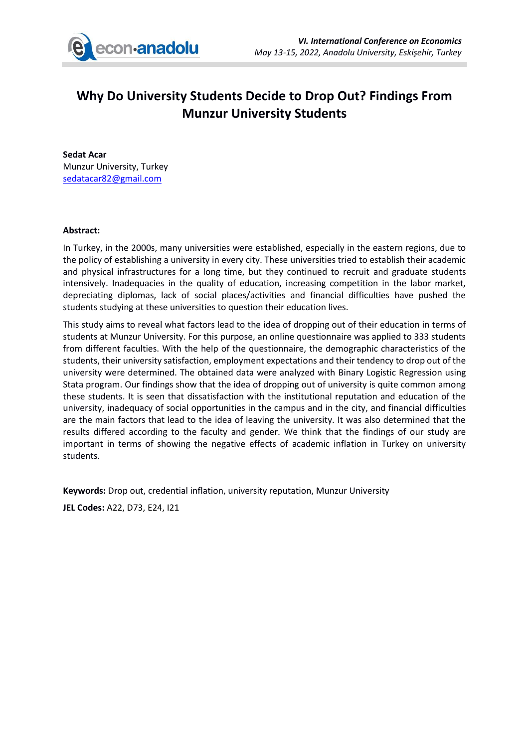

## **Why Do University Students Decide to Drop Out? Findings From Munzur University Students**

**Sedat Acar** Munzur University, Turkey [sedatacar82@gmail.com](mailto:sedatacar82@gmail.com)

## **Abstract:**

In Turkey, in the 2000s, many universities were established, especially in the eastern regions, due to the policy of establishing a university in every city. These universities tried to establish their academic and physical infrastructures for a long time, but they continued to recruit and graduate students intensively. Inadequacies in the quality of education, increasing competition in the labor market, depreciating diplomas, lack of social places/activities and financial difficulties have pushed the students studying at these universities to question their education lives.

This study aims to reveal what factors lead to the idea of dropping out of their education in terms of students at Munzur University. For this purpose, an online questionnaire was applied to 333 students from different faculties. With the help of the questionnaire, the demographic characteristics of the students, their university satisfaction, employment expectations and their tendency to drop out of the university were determined. The obtained data were analyzed with Binary Logistic Regression using Stata program. Our findings show that the idea of dropping out of university is quite common among these students. It is seen that dissatisfaction with the institutional reputation and education of the university, inadequacy of social opportunities in the campus and in the city, and financial difficulties are the main factors that lead to the idea of leaving the university. It was also determined that the results differed according to the faculty and gender. We think that the findings of our study are important in terms of showing the negative effects of academic inflation in Turkey on university students.

**Keywords:** Drop out, credential inflation, university reputation, Munzur University

**JEL Codes:** A22, D73, E24, I21